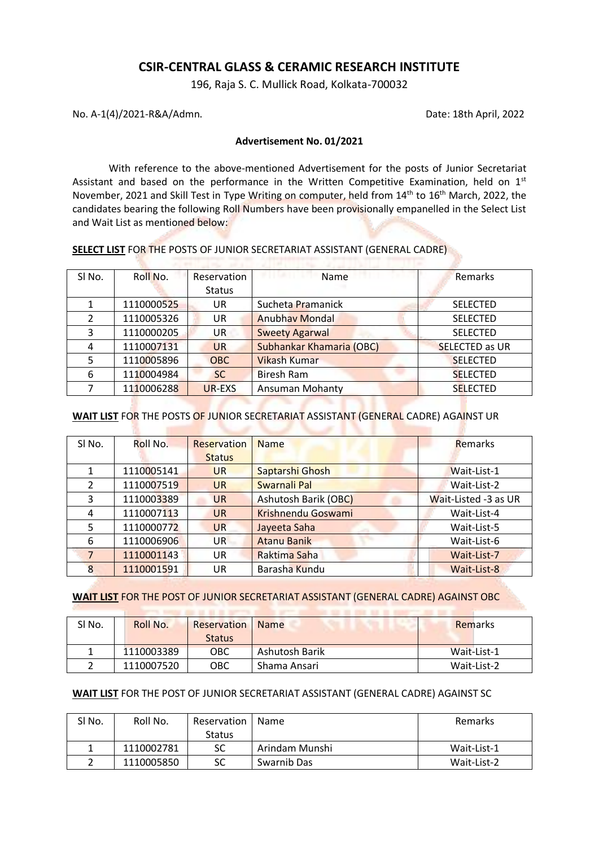# **CSIR-CENTRAL GLASS & CERAMIC RESEARCH INSTITUTE**

196, Raja S. C. Mullick Road, Kolkata-700032

No. A-1(4)/2021-R&A/Admn. Date: 18th April, 2022

#### **Advertisement No. 01/2021**

With reference to the above-mentioned Advertisement for the posts of Junior Secretariat Assistant and based on the performance in the Written Competitive Examination, held on  $1<sup>st</sup>$ November, 2021 and Skill Test in Type Writing on computer, held from 14<sup>th</sup> to 16<sup>th</sup> March, 2022, the candidates bearing the following Roll Numbers have been provisionally empanelled in the Select List and Wait List as mentioned below:

| <b>SELECT LIST</b> FOR THE POSTS OF JUNIOR SECRETARIAT ASSISTANT (GENERAL CADRE) |
|----------------------------------------------------------------------------------|
|----------------------------------------------------------------------------------|

| SI No. | Roll No.   | Reservation   | Name<br>11.4111                 | Remarks               |
|--------|------------|---------------|---------------------------------|-----------------------|
|        |            | <b>Status</b> |                                 |                       |
|        | 1110000525 | UR            | Sucheta Pramanick               | <b>SELECTED</b>       |
|        | 1110005326 | UR            | <b>Anubhav Mondal</b>           | <b>SELECTED</b>       |
| 3      | 1110000205 | UR            | <b>Sweety Agarwal</b>           | <b>SELECTED</b>       |
| 4      | 1110007131 | <b>UR</b>     | <b>Subhankar Khamaria (OBC)</b> | <b>SELECTED as UR</b> |
| 5.     | 1110005896 | <b>OBC</b>    | <b>Vikash Kumar</b>             | <b>SELECTED</b>       |
| 6      | 1110004984 | <b>SC</b>     | <b>Biresh Ram</b>               | <b>SELECTED</b>       |
|        | 1110006288 | UR-EXS        | <b>Ansuman Mohanty</b>          | <b>SELECTED</b>       |
|        |            |               |                                 |                       |

### **WAIT LIST** FOR THE POSTS OF JUNIOR SECRETARIAT ASSISTANT (GENERAL CADRE) AGAINST UR

and the Control Control Blue

| SI No.        | Roll No.   | <b>Reservation</b> | <b>Name</b>                 | Remarks              |
|---------------|------------|--------------------|-----------------------------|----------------------|
|               |            | <b>Status</b>      |                             |                      |
|               | 1110005141 | <b>UR</b>          | Saptarshi Ghosh             | Wait-List-1          |
| $\mathcal{L}$ | 1110007519 | <b>UR</b>          | Swarnali Pal                | Wait-List-2          |
| 3             | 1110003389 | <b>UR</b>          | <b>Ashutosh Barik (OBC)</b> | Wait-Listed -3 as UR |
| 4             | 1110007113 | UR                 | <b>Krishnendu Goswami</b>   | Wait-List-4          |
| 5             | 1110000772 | <b>UR</b>          | Jayeeta Saha                | Wait-List-5          |
| 6             | 1110006906 | UR                 | <b>Atanu Banik</b>          | Wait-List-6          |
|               | 1110001143 | UR                 | Raktima Saha                | Wait-List-7          |
| 8             | 1110001591 | UR                 | Barasha Kundu               | Wait-List-8          |

### **WAIT LIST** FOR THE POST OF JUNIOR SECRETARIAT ASSISTANT (GENERAL CADRE) AGAINST OBC

| SI No. | Roll No.   | Reservation<br><b>Status</b> | <b>Name</b>    | Remarks     |
|--------|------------|------------------------------|----------------|-------------|
|        | 1110003389 | OBC                          | Ashutosh Barik | Wait-List-1 |
|        | 1110007520 | OBC                          | Shama Ansari   | Wait-List-2 |

# **WAIT LIST** FOR THE POST OF JUNIOR SECRETARIAT ASSISTANT (GENERAL CADRE) AGAINST SC

| SI No. | Roll No.   | Reservation   | Name           | Remarks     |
|--------|------------|---------------|----------------|-------------|
|        |            | <b>Status</b> |                |             |
|        | 1110002781 | SC            | Arindam Munshi | Wait-List-1 |
|        | 1110005850 | SC            | Swarnib Das    | Wait-List-2 |